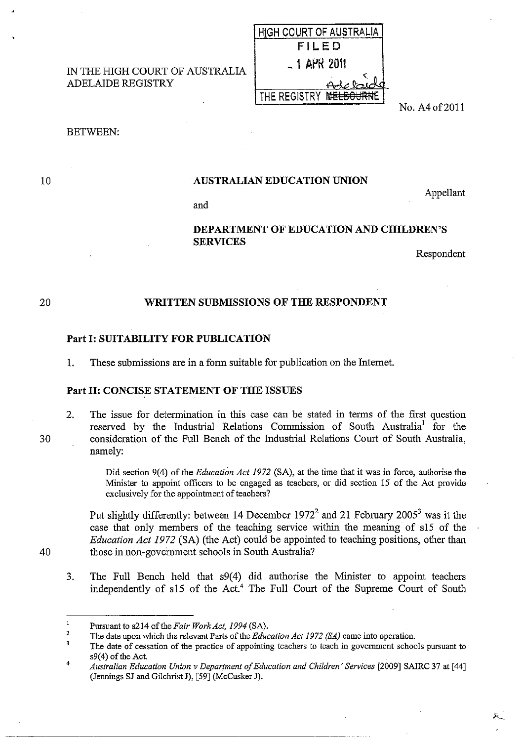# IN THE HIGH COURT OF AUSTRALIA ADELAIDE REGISTRY

HiGH COURT OF AUSTRALIA FILED \_ 1 APR 2011 <u>A</u>debaidd THE REGISTRY M<del>IELBOU</del>

No. A4 of 2011

### BETWEEN:

### AUSTRALIAN EDUCATION UNION

and

# DEPARTMENT OF EDUCATION AND CHILDREN'S SERVICES

Respondent

Appellant

#### WRITTEN SUBMISSIONS OF THE RESPONDENT

### Part I: SUITABILITY FOR PUBLICATION

1. These submissions are in a form suitable for publication on the Internet.

#### Part II: CONCISE STATEMENT OF THE ISSUES

2. The issue for determination in this case can be stated in terms of the first question reserved by the Industrial Relations Commission of South Australia<sup>1</sup> for the 30 consideration of the Full Bench of the Industrial Relations Court of South Australia, namely:

> Did section 9(4) of the *Education Act* 1972 (SA), at the time that it was in force, authorise the Minister to appoint officers to be engaged as teachers, or did section 15 of the Act provide exclusively for the appointment of teachers?

Put slightly differently: between 14 December 1972<sup>2</sup> and 21 February 2005<sup>3</sup> was it the case that only members of the teaching service within the meaning of s15 of the *Education Act 1972* (SA) (the Act) could be appointed to teaching positions, other than those in non-government schools in South Australia?

3. The Full Bench held that s9(4) did authorise the Minister to appoint teachers independently of s15 of the Act.' The Full Court of the Supreme Court of South

40

10

 $\mathbf{1}$ Pursuant to s214 of the *Fair Work Act,* 1994 (SA).

<sup>2</sup>  The date upon which the relevant Parts of the *Education Act* 1972 *(SA)* came into operation.

<sup>3</sup>  , The date of cessation of the practice of appointing teachers to teach in government schools pursuant to s9(4) of the Act.

*Australian Education Union* v *Department of Education and Children' Services* [2009] SAlRC 37 at [44] (Jennings SJ and Gilchrist J), [59] (McCusker J).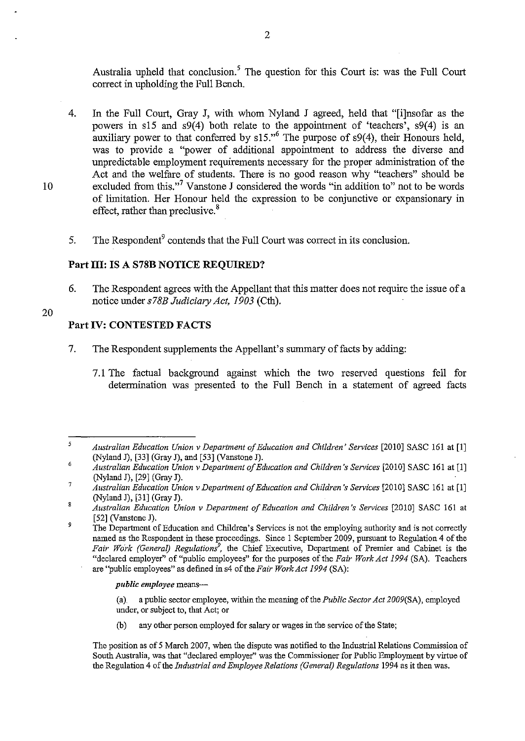Australia upheld that conclusion.<sup>5</sup> The question for this Court is: was the Full Court correct in upholding the Full Bench.

- 4. In the Full Court, Gray J, with whom Nyland J agreed, held that "[i]nsofar as the powers in sl5 and s9(4) both relate to the appointment of 'teachers', s9(4) is an auxiliary power to that conferred by  $s15.^{6}$  The purpose of  $s9(4)$ , their Honours held, was to provide a "power of additional appointment to address the diverse and unpredictable employment requirements necessary for the proper administration of the Act and the welfare of students. There is no good reason why "teachers" should be excluded from this."<sup>7</sup> Vanstone J considered the words "in addition to" not to be words of limitation. Her Honour held the expression to be conjunctive or expansionary in effect, rather than preclusive.<sup>8</sup>
- 5. The Respondent<sup>9</sup> contends that the Full Court was correct in its conclusion.

# Part III: IS A S78B NOTICE REQUIRED?

6. The Respondent agrees with the Appellant that this matter does not require the issue of a notice under *s78B Judiciary Act, 1903* (Cth).

#### 20

10

### **Part IV: CONTESTED FACTS**

- 7. The Respondent supplements the Appellant's summary of facts by adding:
	- 7.1 The factual background against which the two reserved questions fell for determination was presented to the Full Bench in a statement of agreed facts

*public employee* means-

(al a public sector employee, within the meaning of the *Public Sector Act 2009(SA),* employed under, or subject to, that Act; or

(b) any other person employed for salary or wages in the service of the State;

The position as of 5 March 2007, when the dispute was notified to the Industrial Relations Commission of South Australia, was that "declared employer" was the Commissioner for Public Employment by virtue of the Regulation 4 of the *Industrial and Employee Relations (General) Regulations* 1994 as it then was.

<sup>5</sup>  *Australian Education Union* v *Department of Education and Children' Services* [2010] SASC 161 at [1] (Nyland 1), [33] (Gray J), and [53] (Vanstone 1).

<sup>6</sup>  *Australian Education Union* v *Department of Education and Children's Services* [2010] SASC 161 at [1] (Nyland 1), [29] (Gray J).

<sup>7</sup>  *Australian Education Union* v *Department of Education and Children's Services* [2010] SASC 161 at [1] (Nyland J), [31] (Gray J).

 $\overline{8}$ *Australian Education Union* v *Department of Education and Children's Services* [2010] SASC 161 at [52] (Vanstone J).

<sup>9</sup>  The Department of Education and Children's Services is not the employing authority and is not correctly named as the Respondent in these proceedings. Since 1 September 2009, pursuant to Regulation 4 of the *Fair Work (General) Regulations",* the Chief Executive, Department of Premier and Cabinet is the "declared employer" of "public employees" for the purposes of the *Fair Work Act* 1994 (SA). Teachers are "public employees" as defined in s4 of the *Fair Work Act* 1994 (SA):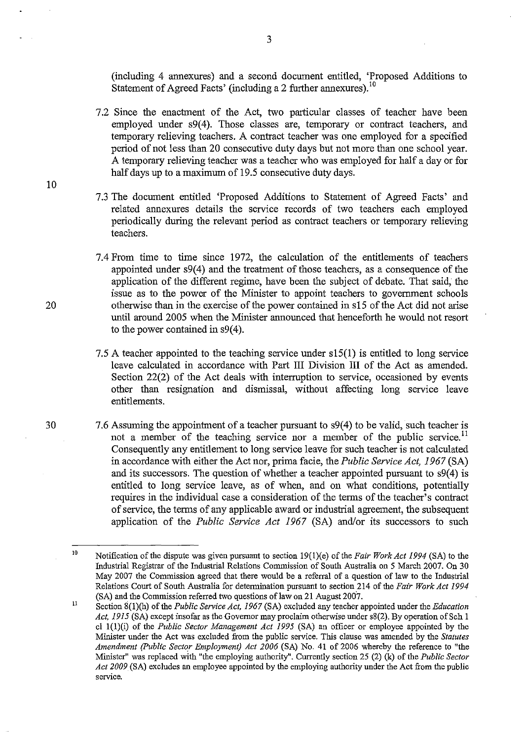(including 4 annexures) and a second document entitled, 'Proposed Additions to Statement of Agreed Facts' (including a 2 further annexures).<sup>10</sup>

- 7.2 Since the enactment of the Act, two particular classes of teacher have been employed under s9(4). Those classes are, temporary or contract teachers, and temporary relieving teachers. A contract teacher was one employed for a specified period of not less than 20 consecutive duty days but not more than one school year. A temporary relieving teacher was a teacher who was employed for half a day or for half days up to a maximum of 19.5 consecutive duty days.
- 7.3 The document entitled 'Proposed Additions to Statement of Agreed Facts' and related annexures details the service records of two teachers each employed periodically during the relevant period as contract teachers or temporary relieving teachers.
- 7.4 From time to time since 1972, the calculation of the entitlements of teachers appointed under s9(4) and the treatment of those teachers, as a consequence of the application of the different regime, have been the subject of debate. That said, the issue as to the power of the Minister to appoint teachers to government schools 20 otherwise than in the exercise of the power contained in s15 of the Act did not arise until around 2005 when the Minister announced that henceforth he would not resort to the power contained in  $\frac{9(4)}{2}$ .
	- 7.5 A teacher appointed to the teaching service under s15(1) is entitled to long service leave calculated in accordance with Part HI Division HI of the Act as amended. Section 22(2) of the Act deals with interruption to service, occasioned by events other than resignation and dismissal, without affecting long service leave entitlements.
	- 7.6 Assuming the appointment of a teacher pursuant to s9(4) to be valid, such teacher is not a member of the teaching service nor a member of the public service.<sup>11</sup> Consequently any entitlement to long service leave for such teacher is not calculated in accordance with either the Act nor, prima facie, the *Public Service Act,* 1967 (SA) and its successors. The question of whether a teacher appointed pursuant to  $s9(4)$  is entitled to long service leave, as of when, and on what conditions, potentially requires in the individual case a consideration of the terms of the teacher's contract of service, the terms of any applicable award or industrial agreement, the subsequent application of the *Public Service Act 1967* (SA) and/or its successors to such

10

30

10

Notification of the dispute was given pursuant to section 19(1)(e) of the *Fair Work Act* 1994 (SA) to the Industrial Registrar of the Industrial Relations Commission of South Australia on 5 March 2007. On 30 May 2007 the Commission agreed that there would be a referral of a question of law to the Industrial Relations Court of South Australia for determination pursuant to section 214 of the *Fair Work Act 1994*  (SA) and the Commission referred two questions of law on 21 August 2007.

Section 8(1)(b) of the *Public Service Act,* 1967 (SA) excluded any teacher appointed under the *Education Act,* 1915 (SA) except insofar as the Governor may proclaim otherwise under s8(2). By operation of Sch 1 cl l(l)(i) of the *Public Sector Management Act* 1995 (SA) an officer or employee appointed by the Minister under the Act was excluded from the public service. This clause was amended by the *Statutes Amendment (Public Sector Employment) Act 2006* (SA) No. 41 of 2006 whereby the reference to "the Minister" was replaced with "the employing authority". Currently section 25 (2) (k) of the *Public Sector*  Act 2009 (SA) excludes an employee appointed by the employing authority under the Act from the public **service.**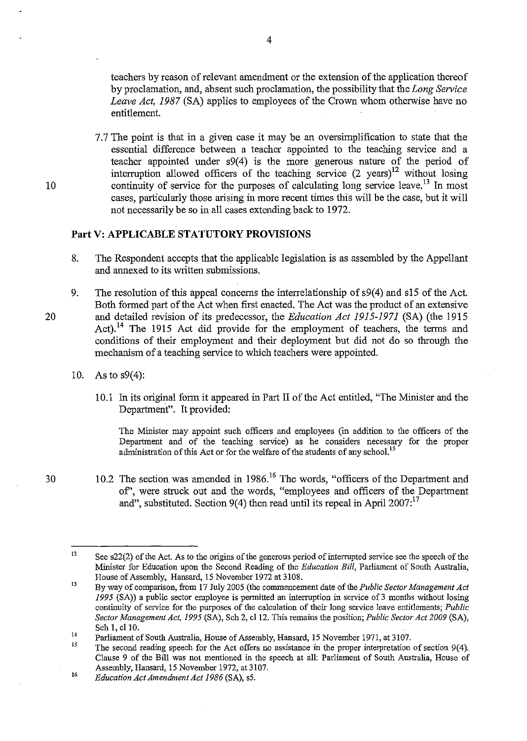teachers by reason of relevant amendment or the extension of the application thereof by proclamation, and, absent such proclamation, the possibility that the *Long Service Leave Act, 1987* (SA) applies to employees of the Crown whom otherwise have no entitlement.

7.7 The point is that in a given case it may be an oversimplification to state that the essential difference between a teacher appointed to the teaching service and a teacher appointed under s9(4) is the more generous nature of the period of interruption allowed officers of the teaching service  $(2 \text{ years})^{12}$  without losing 10 continuity of service for the purposes of calculating long service leave.<sup>13</sup> In most cases, particularly those arising in more recent times this will be the case, but it will not necessarily be so in all cases extending back to 1972.

# **Part V: APPLICABLE STATUTORY PROVISIONS**

- 8. The Respondent accepts that the applicable legislation is as assembled by the Appellant and annexed to its written submissions.
- 9. The resolution of this appeal concerns the interrelationship of s9(4) and s15 of the Act. Both fonned part of the Act when first enacted. The Act was the product of an extensive and detailed revision of its predecessor, the *Education Act* 1915-1971 (SA) (the 1915 Act).<sup>14</sup> The 1915 Act did provide for the employment of teachers, the terms and conditions of their employment and their deployment but did not do so through the mechanism of a teaching service to which teachers were appointed.
- 10. As to s9(4):
	- 10.1 In its original fonn it appeared in Part II of the Act entitled, "The Minister and the Department". It provided:

The Minister may appoint such officers and employees (in addition to the officers of the Department and of the teaching service) as he considers necessary for the proper administration of this Act or for the welfare of the students of any school.<sup>15</sup>

30 10.2 The section was amended in 1986.<sup>16</sup> The words, "officers of the Department and of', were struck out and the words, "employees and officers of the Department and", substituted. Section 9(4) then read until its repeal in April 2007:<sup>17</sup>

<sup>12</sup>  See s22(2) of the Act. As to the origins of the generous period of interrupted service see the speech of the Minister for Education upon the Second Reading of the *Education Bill,* Parliament of South Australia, House of Assembly, Hansard, 15 November 1972 at 3108.

<sup>13</sup>  By way of comparison, from 17 July 2005 (the commencement date of the *Public Sector Management Act*  1995 (SA)) a public sector employee is permitted an interruption in service of 3 months without losing continuity of service for the purposes of the calculation of their long service leave entitlements; *Public Sector Management Act,* 1995 (SA), Sch 2, cl 12. This remains the position; *Public Sector Act 2009* (SA), Sch 1, cl 10.

<sup>14</sup>  Parliament of South Australia, House of Assembly, Hansard, 15 November 1971, at 3107.

<sup>15</sup>  The second reading speech for the Act offers no assistance in the proper interpretation of section 9(4). Clause 9 of the Bill was not mentioned in the speech at all: Parliament of South Australia, House of Assembly, Hansard, 15 November 1972, at 3107.

<sup>16</sup>  *Education Act Amendment Act* 1986 (SA), sS.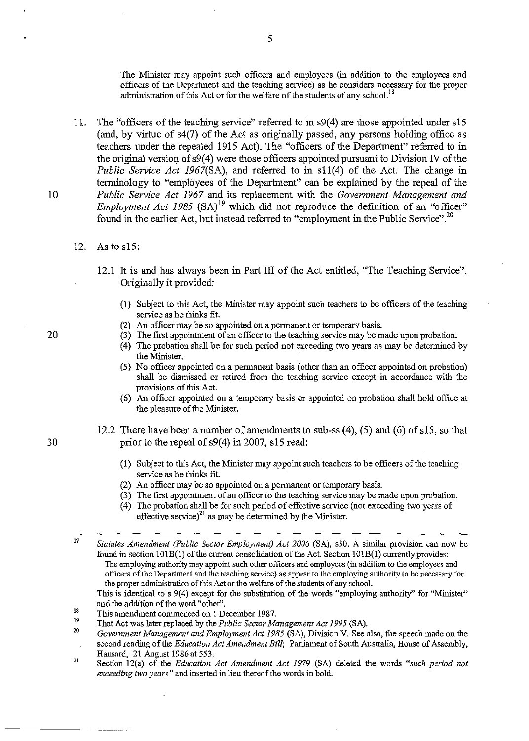The Minister may appoint such officers and employees (in addition to the employees and officers of the Department and the teaching service) as he considers necessary for the proper administration of this Act or for the welfare of the students of any school.<sup>18</sup>

- 11. The "officers of the teaching service" referred to in s9(4) are those appointed under s15 (and, by virtue of s4(7) of the Act as originally passed, any persons holding office as teachers under the repealed 1915 Act). The "officers of the Department" referred to in the original version of  $s9(4)$  were those officers appointed pursuant to Division IV of the *Public Service Act 1967*(SA), and referred to in s11(4) of the Act. The change in terminology to "employees of the Department" can be explained by the repeal of the 10 *Public Service Act* 1967 and its replacement with the *Government Management and Employment Act 1985* (SA)<sup>19</sup> which did not reproduce the definition of an "officer" found in the earlier Act, but instead referred to "employment in the Public Service".<sup>20</sup>
	- 12. As to s15:
		- 12.1 It is and has always been in Part HI of the Act entitled, "The Teaching Service". Originally it provided:
			- (1) Subject to this Act, the Minister may appoint such teachers to be officers of the teaching service as he thinks fit.
			- (2) An officer may be so appointed on a permanent or temporary basis.
- 20 (3) The first appointment of an officer to the teaching service may be made upon probation.
	- (4) The probation shall be for such period not exceeding two years as may be determined by the Minister.
	- (5) No officer appointed on a permanent basis (other than an officer appointed on probation) shall be dismissed or retired from the teaching service except in accordance with the provisions of this Act.
	- (6) An officer appointed on a temporary basis or appointed on probation shall hold office at the pleasure of the Minister.
- 12.2 There have been a number of amendments to sub-ss  $(4)$ ,  $(5)$  and  $(6)$  of s15, so that 30 prior to the repeal of s9(4) in 2007, s15 read:
	- (1) Subject to this Act, the Minister may appoint such teachers to be officers of the teaching service as he thinks fit.
	- (2) An officer may be so appointed on a permanent or temporary basis.
	- (3) The first appointment of an officer to the teaching service may be made upon probation.
	- (4) The probation shall be for such period of effective service (not exceeding two years of effective service) $^{21}$  as may be determined by the Minister.

17 *Statutes Amendment (Public Sector Employment) Act 2006* (SA), s30. A similar provision can now be found in section  $101B(1)$  of the current consolidation of the Act. Section  $101B(1)$  currently provides: The employing authority may appoint such other officers and employees (in addition to the employees and officers of the Department and the teaching service) as appear to the employing authority to be necessary for the proper administration of this Act or the welfare of the students of any school.

This is identical to s 9(4) except for the substitution of the words "employing authority" for "Minister" and the addition of the word "other".

- 18 This amendment commenced on 1 December 1987.
- 19 20 That Act was later replaced by the *Public Sector Management Act* 1995 (SA).
- *Government Management and Employment Act* 1985 (SA), Division V. See also, the speech made on the second reading of the *Education Act Amendment Bill;* Parliament of South Australia, House of Assembly, Hansard, 21 August 1986 at 553.
- 21 Section l2(a) of the *Education Act Amendment Act* 1979 (SA) deleted the words *"such period not exceeding two years"* and inserted in lieu thereof the words in bold.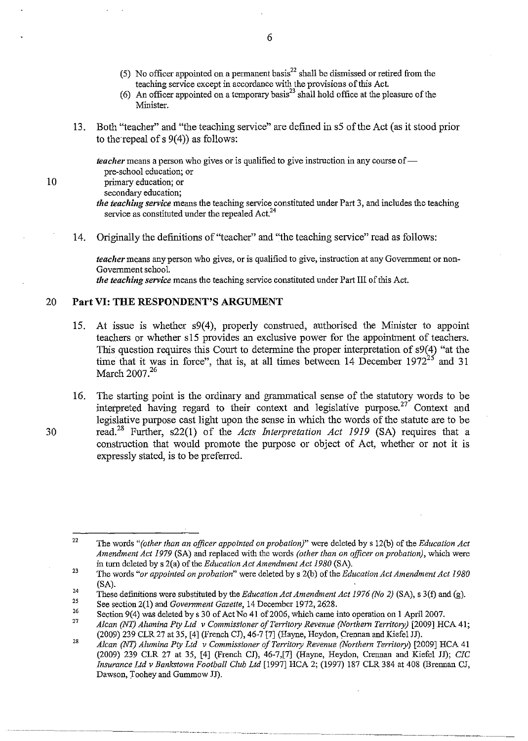- (5) No officer appointed on a permanent basis<sup>22</sup> shall be dismissed or retired from the teaching service except in accordance with the provisions of this Act.
- (6) An officer appointed on a temporary basis<sup>23</sup> shall hold office at the pleasure of the Minister.
- 13. Both "teacher" and "the teaching service" are defined in s5 of the Act (as it stood prior to therepeal of s 9(4)) as follows:

*teacher* means a person who gives or is qualified to give instruction in any course of —

pre-school education; or 10 primary education; or

secondary education;

- *the teaching service* means the teaching service constituted under Part 3, and includes the teaching service as constituted under the repealed Act.<sup>24</sup>
- 14. Originally the definitions of "teacher" and "the teaching service" read as follows:

*teacher* means any person who gives, or is qualified to give, instruction at any Government or non-Government school.

*the teaching service* means the teaching service constituted under Part III of this Act.

# 20 **Part VI: THE RESPONDENT'S ARGUMENT**

15. At issue is whether s9(4), properly construed, authorised the Minister to appoint teachers or whether s15 provides an exclusive power for the appointment of teachers. This question requires this Court to determine the proper interpretation of s9(4) "at the time that it was in force", that is, at all times between 14 December  $1972^{25}$  and 31 March 2007.<sup>26</sup>

16. The starting point is the ordinary and grammatical sense of the statutory words to be interpreted having regard to their context and legislative purpose.<sup>27</sup> Context and legislative purpose cast light upon the sense in which the words of the statute are to be 30 read. 28 Further, s22(1) of the *Acts Interpretation Act* 1919 (SA) requires that a construction that would promote the purpose or object of Act, whether or not it is expressly stated, is to be preferred.

<sup>22</sup>  The words *"(other than an officer appointed on probation)"* were deleted by s 12(b) of the *Education Act Amendment Act* 1979 (SA) and replaced with the words *(other than on officer on probation),* which were in turn deleted by s 2(a) of the *Education Act Amendment Act 1980* (SA).

<sup>23</sup>  The words *"or appointed on probation"* were deleted by s 2(b) of the *Education Act Amendment Act 1980*  (SA).

<sup>24</sup>  These definitions were substituted by the *Education Act Amendment Act* 1976 *(No* 2) (SA), s 3(f) and (g).

<sup>25</sup>  See section 2(1) and *Government Gazette*, 14 December 1972, 2628.

<sup>26</sup>  Section 9(4) was deleted by s 30 of Act No 41 of 2006, which came into operation on 1 April 2007.

<sup>27</sup>  *Alcan* (NT) *Alumina* Ply *Ltd* v *Commissioner o/Territory Revenue (Northern Territory)* [2009] RCA 41; (2009) 239 CLR27 at 35, [4] (French CJ), 46-7 [7] (Hayne, Reydon, Crennan and Kiefel JJ).

<sup>28</sup>  *Alcan (NT) Alumina Pty Ltd v Commissioner of Territory Revenue (Northern Territory)* [2009] HCA 41 (2009) 239 CLR 27 at 35, [4] (French CJ), 46-7,[7] (Hayne, Reydon, Crennan and Kiefel JJ); *CIC Insurance Ltd* v *Bankstown Football Club Lld* [1997] RCA 2; (1997) 187 CLR 384 at 408 (Brennan CJ, Dawson, Toohey and Gummow JJ).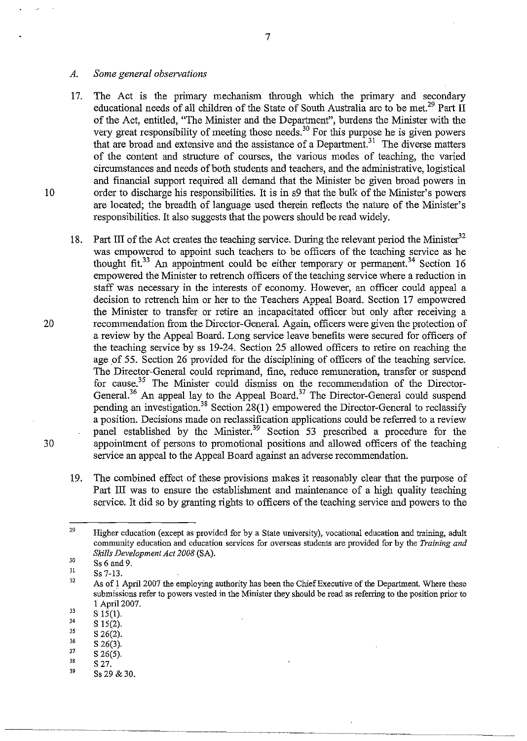#### *A. Some general observations*

- 17. The Act is the primary mechanism through which the primary and secondary educational needs of all children of the State of South Australia are to be met.<sup>29</sup> Part II of the Act, entitled, "The Minister and the Department", burdens the Minister with the very great responsibility of meeting those needs.<sup>30</sup> For this purpose he is given powers that are broad and extensive and the assistance of a Department.<sup>31</sup> The diverse matters of the content and structure of courses, the various modes of teaching, the varied circumstances and needs of both students and teachers, and the administrative, logistical and financial support required all demand that the Minister be given broad powers in 10 order to discharge his responsibilities. It is in s9 that the bulk of the Minister's powers are located; the breadth of language used therein reflects the nature of the Minister's responsibilities. It also suggests that the powers should be read widely.
- 18. Part III of the Act creates the teaching service. During the relevant period the Minister<sup>32</sup> was empowered to appoint such teachers to be officers of the teaching service as he thought  $fit.^{33}$  An appointment could be either temporary or permanent.<sup>34</sup> Section 16 empowered the Minister to retrench officers of the teaching service where a reduction in staff was necessary in the interests of economy. However, an officer could appeal a decision to retrench him or her to the Teachers Appeal Board. Section 17 empowered the Minister to transfer or retire an incapacitated officer but only after receiving a 20 recommendation from the Director-General. Again, officers were given the protection of a review by the Appeal Board. Long service leave benefits were secured for officers of the teaching service by ss 19-24. Section 25 allowed officers to retire on reaching the age of 55. Section 26 provided for the disciplining of officers of the teaching service. The Director-General could reprimand, fine, reduce remuneration, transfer or suspend for cause.<sup>35</sup> The Minister could dismiss on the recommendation of the Director-General.<sup>36</sup> An appeal lay to the Appeal Board.<sup>37</sup> The Director-General could suspend pending an investigation.<sup>38</sup> Section 28(1) empowered the Director-General to reclassify a position. Decisions made on reclassification applications could be referred to a review panel established by the Minister.<sup>39</sup> Section 53 prescribed a procedure for the 30 appointment of persons to promotional positions and allowed officers of the teaching service an appeal to the Appeal Board against an adverse recommendation.
	- 19. The combined effect of these provisions makes it reasonably clear that the purpose of Part III was to ensure the establishment and maintenance of a high quality teaching service. It did so by granting rights to officers of the teaching service and powers to the

- 34 S 15(2).
- 35 S 26(2).
- 36 S 26(3).
- 37 S 26(5).
- 38 S 27.
- 39 Ss 29 & 30.

... \_--\_.\_-----------

<sup>29</sup>  30 Higher education (except as provided for by a State university), vocational education and training, adult community education and education services for overseas students are provided for by the *Training and Skills Development Act 2008* (SA).

<sup>31</sup>  Ss 6 and 9. Ss 7-13.

<sup>32</sup>  As of 1 April 2007 the employing authority has been the Chief Executive of the Department. Where these submissions refer to powers vested in the Minister they should be read as referring to the position prior to 1 April 2007.

J3 S 15(1).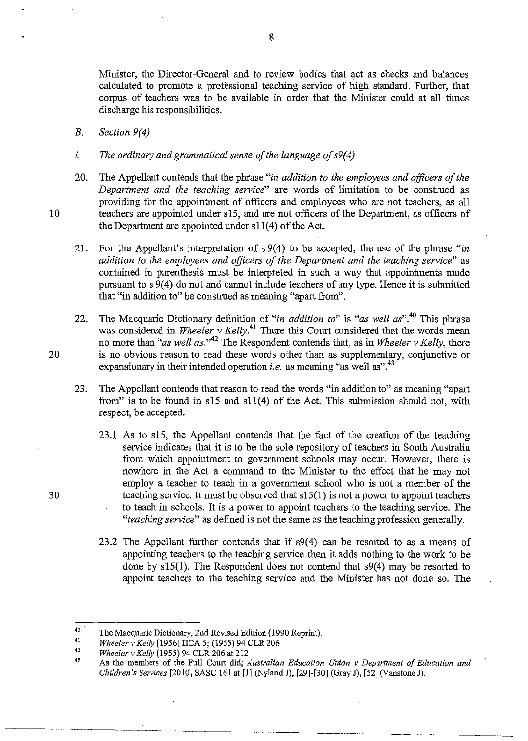Minister, the Director-General and to review bodies that act as checks and balances calculated to promote a professional teaching service of high standard. Further, that corpus of teachers was to be available in order that the Minister could at all times discharge his responsibilities.

- *B. Section 9(4)*
- *i. The ordinary and grammatical sense of the language ofs9(4)*
- 20. The Appellant contends that the phrase *"in addition to the employees and officers of the Department and the teaching service"* are words of limitation to be construed as providing for the appointment of officers and employees who are not teachers, as all 10 teachers are appointed under s15, and are not officers of the Department, as officers of the Department are appointed under  $s11(4)$  of the Act.
	- 21. For the Appellant's interpretation of s 9(4) to be accepted, the use of the phrase *"in addition to the employees and officers of the Department and the teaching service"* as contained in parenthesis must be interpreted in such a way that appointments made pursuant to s 9(4) do not and cannot include teachers of any type. Hence it is submitted that "in addition to" be construed as meaning "apart from".
- 22. The Macquarie Dictionary definition of *"in addition to"* is *"as well as".40* This phrase was considered in *Wheeler v Kelly*.<sup>41</sup> There this Court considered that the words mean no more than *"as well as.*<sup>"42</sup> The Respondent contends that, as in *Wheeler v Kelly*, there 20 is no obvious reason to read these words other than as supplementary, conjunctive or expansionary in their intended operation *i.e.* as meaning "as well as".<sup>43</sup>
	- 23. The Appellant contends that reason to read the words "in addition to" as meaning "apart from" is to be found in s15 and sl1(4) of the Act. This submission should not, with respect, be accepted.
- 23.1 As to s15, the Appellant contends that the fact of the creation of the teaching service indicates that it is to be the sole repository of teachers in South Australia from which appointment to government schools may occur. However, there is nowhere in the Act a command to the Minister to the effect that he may not employ a teacher to teach in a government school who is not a member of the 30 teaching service. It must be observed that s15(1) is not a power to appoint teachers to teach in schools. It is a power to appoint teachers to the teaching service. The *"teaching service"* as defined is not the same as the teaching profession generally.
	- 23.2 The Appellant further contends that if s9(4) can be resorted to as a means of appointing teachers to the teaching service then it adds nothing to the work to be done by  $s15(1)$ . The Respondent does not contend that  $s9(4)$  may be resorted to appoint teachers to the teaching service and the Minister has not done so. The

 $-$ 

<sup>40 .</sup>  The Macquarie Dictionary, 2nd Revised Edition (1990 Reprint).

<sup>41</sup>  *Wheeler* v *Kelly* [1956] RCA 5; (1955) 94 CLR 206

<sup>42</sup>  *Wheeler* v *Kelly* (1955) 94 CLR 206 at 212

<sup>43</sup>  As the members of the Full Court did; *Australian Education Union* v *Department of Education and Children's Services* [2010] SASC 161 at [1] (Nyland 1), [29]-[30] (Gray 1), [52] (Vanstone 1).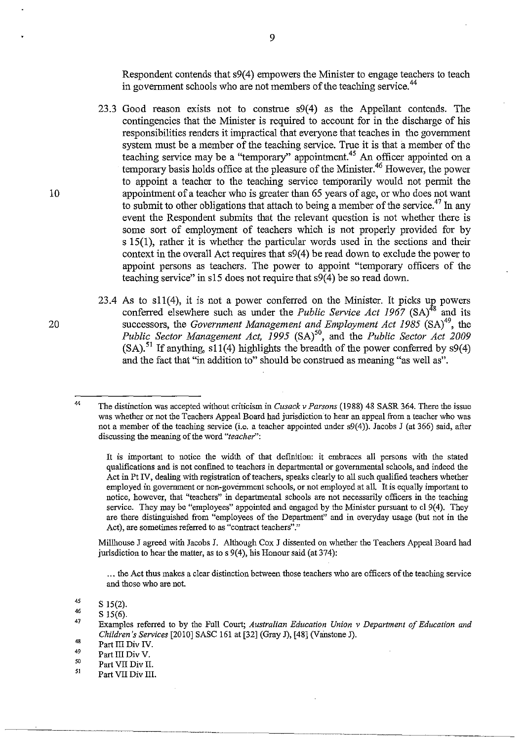Respondent contends that s9(4) empowers the Minister to engage teachers to teach in government schools who are not members of the teaching service.<sup>44</sup>

- 23.3 Good reason exists not to construe s9(4) as the Appellant contends. The contingencies that the Minister is required to account for in the discharge of his responsibilities renders it impractical that everyone that teaches in the government system must be a member of the teaching service. True it is that a member of the teaching service may be a "temporary" appointment.<sup>45</sup> An officer appointed on a temporary basis holds office at the pleasure of the Minister.<sup>46</sup> However, the power to appoint a teacher to the teaching service temporarily would not permit the 10 appointment of a teacher who is greater than 65 years of age, or who does not want to submit to other obligations that attach to being a member of the service.<sup>47</sup> In any event the Respondent submits that the relevant question is not whether there is some sort of employment of teachers which is not properly provided for by s 15(1), rather it is whether the particular words used in the sections and their context in the overall Act requires that s9(4) be read down to exclude the power to appoint persons as teachers. The power to appoint "temporary officers of the teaching service" in s15 does not require that s9(4) be so read down.
- 23.4 As to sl1(4), it is not a power conferred on the Minister. It picks up powers conferred elsewhere such as under the *Public Service Act 1967* (SA)<sup>48</sup> and its 20 successors, the *Government Management and Employment Act 1985* (SA)<sup>49</sup>, the *Public Sector Management Act, 1995* (SA)<sup>50</sup>, and the *Public Sector Act 2009*  $(SA)$ <sup>51</sup> If anything, s11(4) highlights the breadth of the power conferred by s9(4) and the fact that "in addition to" should be construed as meaning "as well as".

Millhouse J agreed with Jacobs J. Although Cox J dissented on whether the Teachers Appeal Board had jurisdiction to hear the matter, as to s 9(4), his Honour said (at 374):

... the Act thus makes a clear distinction between those teachers who are officers of the teaching service and those who are not.

49 Part III Div IV.

- 51 Part VII Div II.
- Part VII Div III.

<sup>44</sup>  The distinction was accepted without criticism in *Cusack v Parsons* (1988) 48 SASR 364. There the issue was whether or not the Teachers Appeal Board had jurisdiction to hear an appeal from a teacher who was not a member of the teaching service (i.e. a teacher appointed under s9(4)). Jacobs J (at 366) said, after discnssing the meaning of the word *"teacher":* 

It is important to notice the width of that definition: it embraces all persons with the stated qualifications and is not confined to teachers in departmental or govermnental schools, and indeed the Act in Pt IV, dealing with registration of teachers, speaks clearly to all such qualified teachers whether employed in government or non-government schools, or not employed at all. It is equally important to **notice, however, that "teachers" in departmental schools are not necessarily officers in the teaching**  service. They may be "employees" appointed and engaged by the Minister pursuant to cl 9(4). They are there distinguished from "employees of the Department" and in everyday usage (but not in the **Act), are sometimes referred to as "contract teachers"."** 

<sup>45</sup>  S 15(2).

<sup>46</sup>  S 15(6).

<sup>47</sup>  48 Examples referred to by the Full Court; *Australian Education Union v Department of Education and Children's Services* [2010] SASC 161 at [32] (Gray J), [48] (Vanstone J).

<sup>50</sup>  Part III Div V.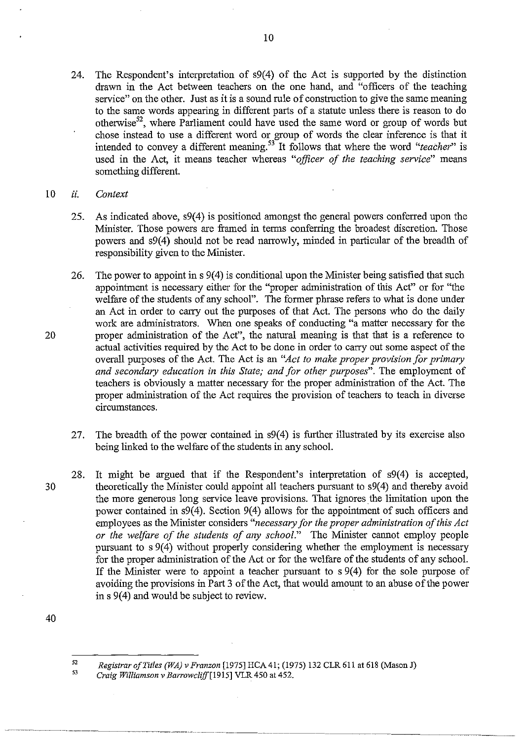- 24. The Respondent's interpretation of s9(4) of the Act is supported by the distinction drawn in the Act between teachers on the one hand, and "officers of the teaching service" on the other. Just as it is a sound rule of construction to give the same meaning to the same words appearing in different parts of a statute unless there is reason to do otherwise<sup>52</sup>, where Parliament could have used the same word or group of words but chose instead to use a different word or group of words the clear inference is that it intended to convey a different meaning. 53 It follows that where the word *"teacher"* is used in the Act, it means teacher whereas *"officer of the teaching service"* means something different.
- 10 ii. *Context* 
	- 25. As indicated above,  $s9(4)$  is positioned amongst the general powers conferred upon the Minister. Those powers are framed in terms conferring the broadest discretion. Those powers and s9(4) should not be read narrowly, minded in particular of the breadth of responsibility given to the Minister.
- 26. The power to appoint in s 9(4) is conditional upon the Minister being satisfied that such appointment is necessary either for the "proper administration of this Act" or for "the welfare of the students of any school". The former phrase refers to what is done under an Act in order to carry out the purposes of that Act. The persons who do the daily work are administrators. When one speaks of conducting "a matter necessary for the 20 proper administration of the Act", the natural meaning is that that is a reference to actual activities required by the Act to be done in order to carry out some aspect of the overall purposes of the Act. The Act is an *"Act to make proper provision for primary*  and secondary education in this State; and for other purposes". The employment of teachers is obviously a matter necessary for the proper administration of the Act. The proper administration of the Act requires the provision of teachers to teach in diverse circumstances.
	- 27. The breadth of the power contained in s9(4) is further illustrated by its exercise also being linked to the welfare of the students in any school.
- 28. It might be argued that if the Respondent's interpretation of s9(4) is accepted, 30 theoretically the Minister could appoint all teachers pursuant to s9(4) and thereby avoid the more generous long service leave provisions. That ignores the limitation upon the power contained in  $s9(4)$ . Section  $9(4)$  allows for the appointment of such officers and employees as the Minister considers *"necessary for the proper administration of this Act or the welfare of the students of any school."* The Minister cannot employ people pursuant to s 9(4) without properly considering whether the employment is necessary for the proper administration of the Act or for the welfare of the students of any school. If the Minister were to appoint a teacher pursuant to s 9(4) for the sole purpose of avoiding the provisions in Part 3 of the Act, that would amount to an abuse of the power in s 9(4) and would be subject to review. .
- 40

<sup>52</sup>  53 *Registrar of Titles (WA)* v *Franzon* [1975] HCA41; (1975) 132 CLR 611 at 618 (Mason J)

*Craig Williamson* v *Barrowclif.f[1915]* VLR 450 at 452.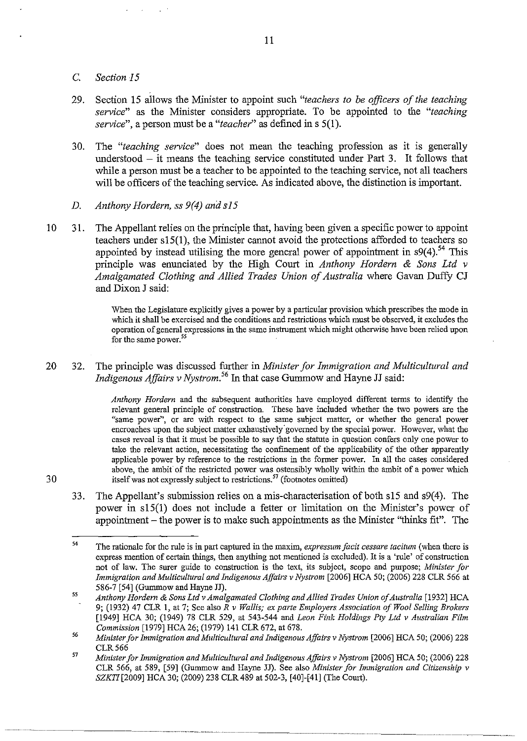- C. *Section 15*
- 29. Section 15 allows the Minister to appoint such *"teachers to be officers of the teaching service"* as the Minister considers appropriate. To be appointed to the *"teaching service",* a person must be a *"teacher"* as defined in s 5(1).
- 30. The *"teaching service"* does not mean the teaching profession as it is generally understood  $-$  it means the teaching service constituted under Part 3. It follows that while a person must be a teacher to be appointed to the teaching service, not all teachers will be officers of the teaching service. As indicated above, the distinction is important.
- *D. Anthony Hordern,* ss 9(4) *and s15*
- 10 31. The Appellant relies on the principle that, having been given a specific power to appoint teachers under s15(1), the Minister cannot avoid the protections afforded to teachers so appointed by instead utilising the more general power of appointment in  $\frac{1}{9}(4)$ .<sup>54</sup> This principle was enunciated by the High Court in *Anthony Hordern* & *Sons Ltd* v *Amalgamated Clothing and Allied Trades Union of Australia* where Gavan DuffY CJ and Dixon J said:

When the Legislature explicitly gives a power by a particular provision which prescribes the mode in which it shall be exercised and the conditions and restrictions which must be observed, it excludes the operation of general expressions in the same instrument which might otherwise have been relied upon **for the same power.<sup>55</sup>**

# 20 32. The principle was discussed further in *Minister for Immigration and Multicultural and Indigenous Affairs* v *Nystrom. <sup>56</sup>*In that case Gummow and Hayne JJ said:

*Anthony Hordern* and the subsequent authorities have employed different terms to identify the relevant general principle of construction. These have included whether the two powers are the **"same power", or are with respect to the same subject matter, or whether the general power**  encroaches upon the subject matter exhaustively'governed by the special power. However, what the cases reveal is that it must be possible to say that the statute in question confers only one power to take the relevant action, necessitating the confinement of the applicability of the other apparently applicable power by reference to the restrictions in the former power. In all the cases considered above, the ambit of the restricted power was ostensibly wholly within the ambit of a power which itself was not expressly subject to restrictions.<sup>57</sup> (footnotes omitted)

33. The Appellant's submission relies on a mis-characterisation of both s15 and s9(4). The power in s15(1) does not include a fetter or limitation on the Minister's power of appointment  $-$  the power is to make such appointments as the Minister "thinks fit". The

<sup>54</sup>  The rationale for the rule is in part captured in the maxim, *expressum facit cessare tacitum* (when there is express mention of certain things, then anything not mentioned is excluded). It is a 'rule' of construction not of law. The snrer guide to construction is the text, its subject, scope and purpose; *Minister for Immigration and Multicultural and Indigenous Affairs* v *Nystrom* [2006] HCA 50; (2006) 228 CLR 566 at 586-7 [54] (Gummow and Hayne JJ).

<sup>55</sup>  *Anthony Hordem* & *Sons Lld* v *Amalgamated Clothing and Allied Trades Union of Australia* [1932] HCA 9; (1932) 47 CLR I, at 7; See also *R* v *Wallis; ex parte Employers Association of Wool Selling Brokers*  [1949] HCA 30; (1949) 78 CLR 529, at 543-544 and *Leon Fink Holdings Ply Ltd* v *Australian Film Commission* [1979] HCA26; (1979) 141 CLR 672, at 678.

<sup>56</sup>  *Minister for Immigration and Multicultural and Indigenous Affairs* v *Nystrom* [2006] HCA 50; (2006) 228 CLR566

<sup>57</sup>  *Minister for Immigration and Multicultural and Indigenous Affairs* v *Nystrom* [2006] HCA 50; (2006) 228 CLR 566, at 589, [59] (Gummow and Hayne JJ). See also *Minister for Immigration and Citizenship* v *SZKTI*[2009] **HCA 30;** (2009) 238 CLR 489 at 502-3, [40]-[41] (The Court).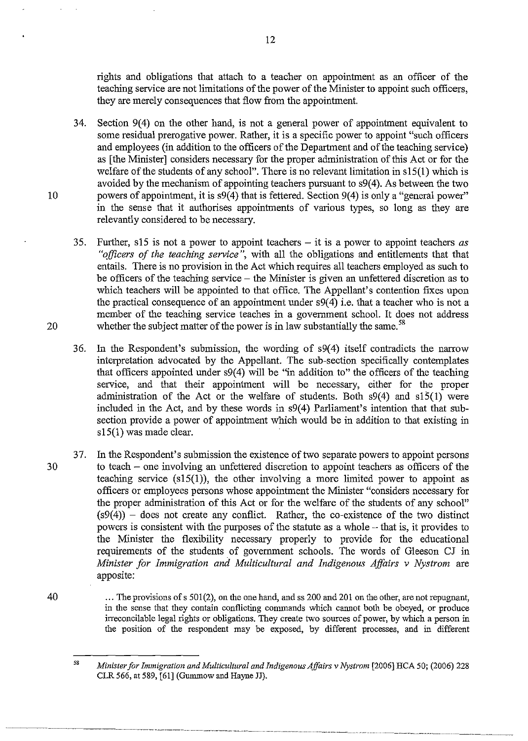rights and obligations that attach to a teacher on appointment as an officer of the teaching service are not limitations of the power of the Minister to appoint such officers, they are merely consequences that flow from the appointment.

12

- 34. Section 9(4) on the other hand, is not a general power of appointment equivalent to some residual prerogative power. Rather, it is a specific power to appoint "such officers and employees (in addition to the officers of the Department and of the teaching service) as [the Minister] considers necessary for the proper administration of this Act or for the welfare of the students of any school". There is no relevant limitation in sI5(1) which is avoided by the mechanism of appointing teachers pursuant to s9(4). As between the two 10 powers of appointment, it is s9(4) that is fettered. Section 9(4) is only a "general power" in the sense that it authorises appointments of various types, so long as they are relevantly considered to be necessary.
- 35. Further, sl5 is not a power to appoint teachers it is a power to appoint teachers *as "officers of the teaching service* ", with all the obligations and entitlements that that entails. There is no provision in the Act which requires all teachers employed as such to be officers of the teaching service - the Minister is given an unfettered discretion as to which teachers will be appointed to that office. The Appellant's contention fixes upon the practical consequence of an appointment under  $s(4)$  i.e. that a teacher who is not a member of the teaching service teaches in a government school. It does not address 20 whether the subject matter of the power is in law substantially the same.<sup>58</sup>
	- 36. In the Respondent's submission, the wording of s9( 4) itself contradicts the narrow interpretation advocated by the Appellant. The sub-section specifically contemplates that officers appointed under  $\mathfrak{so}(4)$  will be "in addition to" the officers of the teaching service, and that their appointment will be necessary, either for the proper administration of the Act or the welfare of students. Both  $s9(4)$  and  $s15(1)$  were included in the Act, and by these words in s9(4) Parliament's intention that that subsection provide a power of appointment which would be in addition to that existing in s15(1) was made clear.
- 37. In the Respondent's submission the existence of two separate powers to appoint persons 30 to teach - one involving an unfettered discretion to appoint teachers as officers of the teaching service (sI5(1)), the other involving a more limited power to appoint as officers or employees persons whose appointment the Minister "considers necessary for the proper administration of this Act or for the welfare of the students of any school"  $(s9(4))$  – does not create any conflict. Rather, the co-existence of the two distinct powers is consistent with the purposes of the statute as a whole  $-$  that is, it provides to the Minister the flexibility necessary properly to provide for the educational requirements of the students of government schools. The words of Gleeson CJ in *Minister for Immigration and Multicultural and Indigenous Affairs* v *Nystrom* are apposite:
	- ... The provisions ofs 501(2), on the one hand, and ss 200 and 201 on the other, are not repugnant, in the sense that they contain conflicting commands which cannot both be obeyed, or produce irreconcilable legal rights or obligations. They create two sources of power, by which a person in the position of the respondent may be exposed, by different processes, and in different

---~~-- -----~ ---~--- ---------~ - ----

<sup>58</sup> *Minister for Immigration and Multiculturol and Indigenous Affairs* v *Nystrom* [2006] RCA 50; (2006) 228 CLR 566, at 589, [61] (Gummow and Rayne JJ).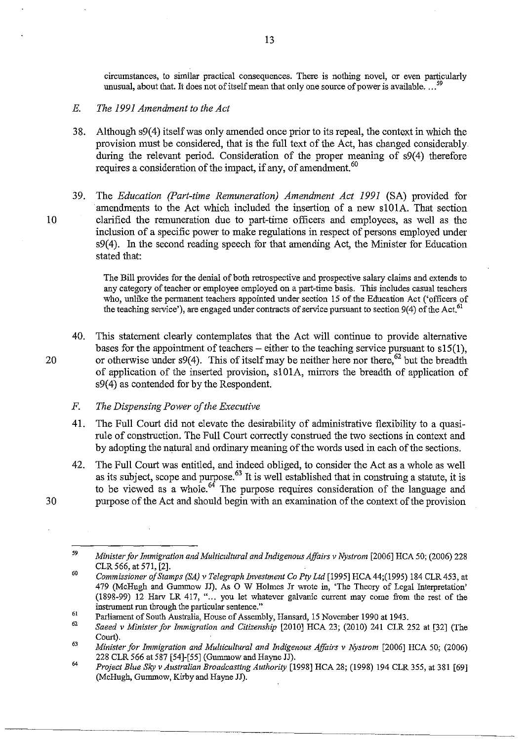circumstances, to similar practical consequences. There is nothing novel, or even particularly unusual, about that. It does not of itself mean that only one source of power is available....

#### *E. The* 1991 *Amendment to the Act*

- 38. Although s9(4) itself was only amended once prior to its repeal, the context in which the provision must be considered, that is the full text of the Act, has changed considerably during the relevant period. Consideration of the proper meaning of  $\frac{9}{4}$  therefore requires a consideration of the impact, if any, of amendment.<sup>60</sup>
- 39. The *Education (Part-time Remuneration) Amendment Act* 1991 (SA) provided for amendments to the Act which included the insertion of a new sIOIA. That section 10 clarified the remuneration due to part-time officers and employees, as well as the inclusion of a specific power to make regulations in respect of persons employed under s9(4). In the second reading speech for that amending Act, the Minister for Education stated that:

The Bill provides for the denial of both retrospective and prospective salary claims and extends to any category of teacher or employee employed on a part-time basis. This includes casual teachers who, unlike the permanent teachers appointed under section 15 of the Education Act ('officers of the teaching service'), are engaged under contracts of service pursuant to section  $9(4)$  of the Act.<sup>61</sup>

- 40. This statement clearly contemplates that the Act will continue to provide alternative bases for the appointment of teachers – either to the teaching service pursuant to  $s15(1)$ . 20 or otherwise under  $\frac{s}{4}$ . This of itself may be neither here nor there, <sup>62</sup> but the breadth of application of the inserted provision, si OIA, mirrors the breadth of application of s9(4) as contended for by the Respondent.
	- *F. The Dispensing Power of the Executive*
	- 41. The Full Court did not elevate the desirability of administrative flexibility to a quasirule of construction. The Full Court correctly construed the two sections in context and by adopting the natural and ordinary meaning of the words used in each of the sections.
- 42. The Full Court was entitled, and indeed obliged, to consider the Act as a whole as well as its subject, scope and purpose.<sup>63</sup> It is well established that in construing a statute, it is to be viewed as a whole.<sup>64</sup> The purpose requires consideration of the language and 30 purpose of the Act and should begin with an examination of the context of the provision

<sup>59</sup>  *Minister for Immigration and Multicultural and Indigenous Affairs* v *Nystrom* [2006] HCA 50; (2006) 228 CLR 566, at 571, [2].

<sup>60</sup>  *Commissioner of Stamps (SA)* v *Telegraph Investment Co Pty Ltd* [1995] HCA 44;(1995) 184 CLR 453, at 479 (McHugh and Gummow JJ). As 0 W Holmes Jr wrote in, 'The Theory of Legal Interpretation' (1898-99) 12 Harv LR 417, "... you let whatever galvanic current may come from the rest of the instrument run through the particular sentence."

<sup>61</sup>  62 Parliament of South Australia, House of Assembly, Hansard, 15 November 1990 at 1943.

<sup>63</sup>  *Saeed* v *Minister for Immigration and Citizenship* [2010] HCA 23; (2010) 241 CLR 252 at [32] (The Court).

*Minister for Immigration and Multicultural and Indigenous Affairs* v *Nystrom* [2006] HCA 50; (2006) 228 CLR 566 at 587 [54]-[55] (Gnmmow and Hayne JJ).

<sup>64</sup>  *Project Blue Sky* v *Australian Broadcasting Authority* [1998] HCA 28; (1998) 194 CLR 355, at 381 [69] (McHugh, Gummow, Kirby and Hayne JJ).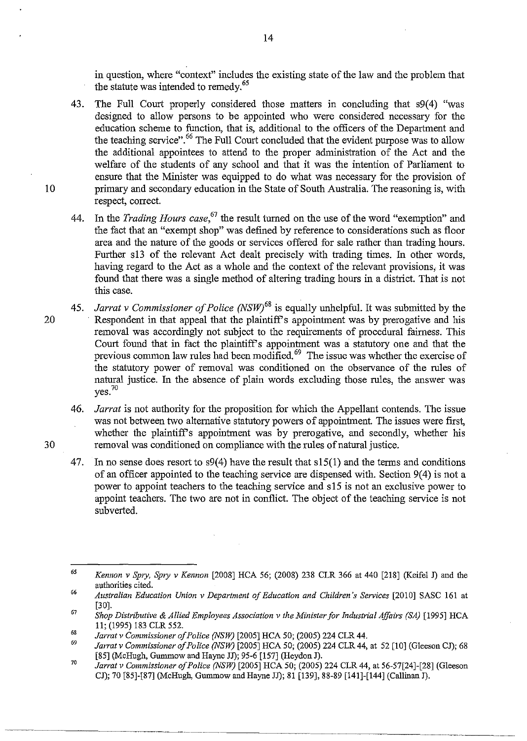in question, where "context" includes the existing state of the law and the problem that the statute was intended to remedy.<sup>65</sup>

- 43. The Full Court properly considered those matters in concluding that s9(4) "was designed to allow persons to be appointed who were considered necessary for the education scheme to function, that is, additional to the officers of the Department and the teaching service".<sup>66</sup> The Full Court concluded that the evident purpose was to allow the additional appointees to attend to the proper administration of the Act and the welfare of the students of any school and that it was the intention of Parliament to ensure that the Minister was equipped to do what was necessary for the provision of 10 primary and secondary education in the State of South Australia. The reasoning is, with respect, correct.
	- 44. In the *Trading Hours case*, <sup>67</sup> the result turned on the use of the word "exemption" and the fact that an "exempt shop" was defined by reference to considerations such as floor area and the nature of the goods or services offered for sale rather than trading hours. Further s13 of the relevant Act dealt precisely with trading times. In other words, having regard to the Act as a whole and the context of the relevant provisions, it was found that there was a single method of altering trading hours in a district. That is not this case.
- *45. Jarrat* v *Commissioner of Police (NSW)68* is equally unhelpful. It was submitted by the 20 Respondent in that appeal that the plaintiff's appointment was by prerogative and his removal was accordingly not subject to the requirements of procedural fairness. This Court found that in fact the plaintiff s appointment was a statutory one and that the previous common law rules had been modified. 69 The issue was whether the exercise of the statutory power of removal was conditioned on the observance of the rules of natural justice. In the absence of plain words excluding those rules, the answer was  $ves.<sup>70</sup>$
- *46. Jarrat* is not authority for the proposition for which the Appellant contends. The issue was not between two alternative statutory powers of appointment. The issues were first, whether the plaintiff's appointment was by prerogative, and secondly, whether his 30 removal was conditioned on compliance with the rules of natural justice.
	- 47. In no sense does resort to  $s9(4)$  have the result that  $s15(1)$  and the terms and conditions of an officer appointed to the teaching service are dispensed with. Section 9(4) is not a power to appoint teachers to the teaching service and s15 is not an exclusive power to appoint teachers. The two are not in conflict. The object of the teaching service is not subverted.

<sup>65</sup>  *Kennon* v *Spry, Spry* v *Kennon* [2008] RCA 56; (2008) 238 CLR 366 at 440 [218] (Keife1 J) and the authorities cited.

<sup>66</sup>  *Australian Education Union* v *Department of Education and Children's Services* [2010] SASC 161 at [30].

<sup>67</sup>  *Shop Distributive* & *Allied Employees Association* v *the Minister for Industrial Affairs (SA)* [1995] RCA 11; (1995) 183 CLR 552.

<sup>68</sup>  *Jarrat* v *Commissioner of Police (NSW)* [2005] RCA 50; (2005) 224 CLR 44.

<sup>69</sup>  *Jarrat* v *Commissioner of Police (NSW)* [2005] RCA 50; (2005) 224 CLR 44, at 52 [10] (Gleeson CJ); 68 [85] (McHugh, Gummow and Hayne JJ); 95-6 [157] (Heydon J).

<sup>70</sup>  *Jarrat* v *Commissioner of Police (NSW)* [2005] RCA 50; (2005) 224 CLR 44, at 56-57[24]-[28] (Gleeson CJ); 70 [85]-[87] (McRugb, Gummow and Rayne JJ); 81 [139],88-89 [141]-[144] (Callinan J).